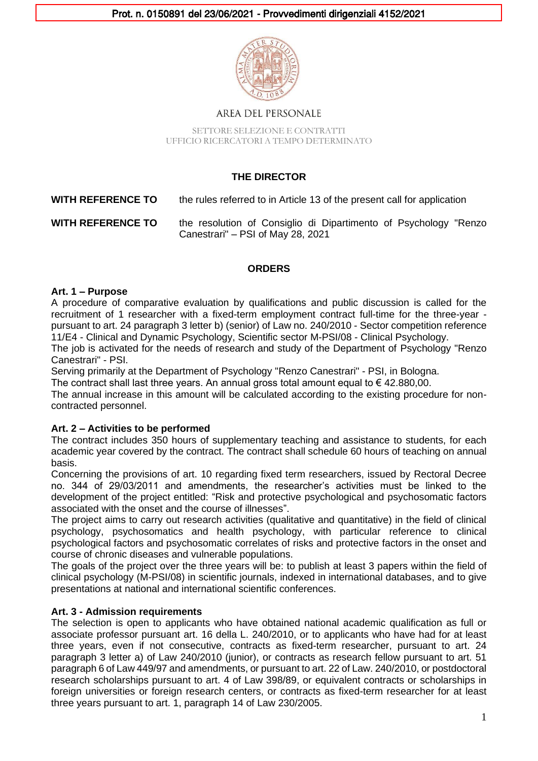

AREA DEL PERSONALE

SETTORE SELEZIONE E CONTRATTI UFFICIO RICERCATORI A TEMPO DETERMINATO

# **THE DIRECTOR**

**WITH REFERENCE TO** the rules referred to in Article 13 of the present call for application

**WITH REFERENCE TO** the resolution of Consiglio di Dipartimento of Psychology "Renzo Canestrari" – PSI of May 28, 2021

## **ORDERS**

### **Art. 1 – Purpose**

A procedure of comparative evaluation by qualifications and public discussion is called for the recruitment of 1 researcher with a fixed-term employment contract full-time for the three-year pursuant to art. 24 paragraph 3 letter b) (senior) of Law no. 240/2010 - Sector competition reference 11/E4 - Clinical and Dynamic Psychology, Scientific sector M-PSI/08 - Clinical Psychology.

The job is activated for the needs of research and study of the Department of Psychology "Renzo Canestrari" - PSI.

Serving primarily at the Department of Psychology "Renzo Canestrari" - PSI, in Bologna.

The contract shall last three years. An annual gross total amount equal to  $\epsilon$  42.880.00.

The annual increase in this amount will be calculated according to the existing procedure for noncontracted personnel.

#### **Art. 2 – Activities to be performed**

The contract includes 350 hours of supplementary teaching and assistance to students, for each academic year covered by the contract. The contract shall schedule 60 hours of teaching on annual basis.

Concerning the provisions of art. 10 regarding fixed term researchers, issued by Rectoral Decree no. 344 of 29/03/2011 and amendments, the researcher's activities must be linked to the development of the project entitled: "Risk and protective psychological and psychosomatic factors associated with the onset and the course of illnesses".

The project aims to carry out research activities (qualitative and quantitative) in the field of clinical psychology, psychosomatics and health psychology, with particular reference to clinical psychological factors and psychosomatic correlates of risks and protective factors in the onset and course of chronic diseases and vulnerable populations.

The goals of the project over the three years will be: to publish at least 3 papers within the field of clinical psychology (M-PSI/08) in scientific journals, indexed in international databases, and to give presentations at national and international scientific conferences.

## **Art. 3 - Admission requirements**

The selection is open to applicants who have obtained national academic qualification as full or associate professor pursuant art. 16 della L. 240/2010, or to applicants who have had for at least three years, even if not consecutive, contracts as fixed-term researcher, pursuant to art. 24 paragraph 3 letter a) of Law 240/2010 (junior), or contracts as research fellow pursuant to art. 51 paragraph 6 of Law 449/97 and amendments, or pursuant to art. 22 of Law. 240/2010, or postdoctoral research scholarships pursuant to art. 4 of Law 398/89, or equivalent contracts or scholarships in foreign universities or foreign research centers, or contracts as fixed-term researcher for at least three years pursuant to art. 1, paragraph 14 of Law 230/2005.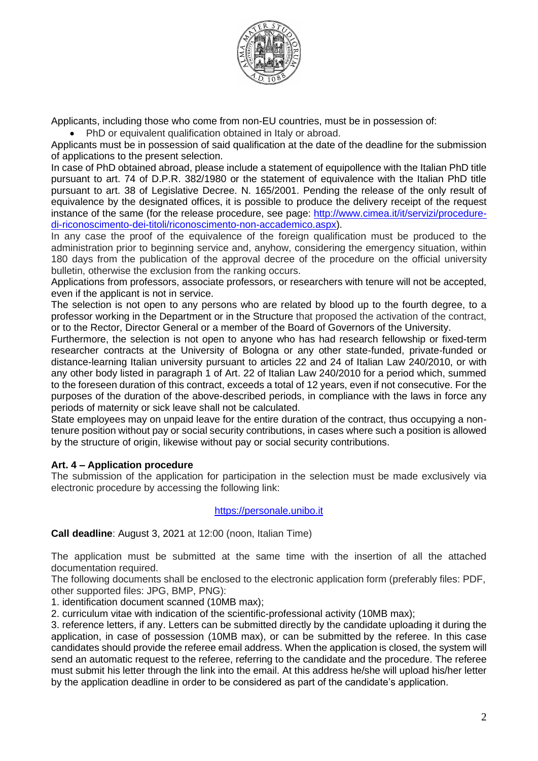

Applicants, including those who come from non-EU countries, must be in possession of:

• PhD or equivalent qualification obtained in Italy or abroad.

Applicants must be in possession of said qualification at the date of the deadline for the submission of applications to the present selection.

In case of PhD obtained abroad, please include a statement of equipollence with the Italian PhD title pursuant to art. 74 of D.P.R. 382/1980 or the statement of equivalence with the Italian PhD title pursuant to art. 38 of Legislative Decree. N. 165/2001. Pending the release of the only result of equivalence by the designated offices, it is possible to produce the delivery receipt of the request instance of the same (for the release procedure, see page: [http://www.cimea.it/it/servizi/procedure](http://www.cimea.it/it/servizi/procedure-di-riconoscimento-dei-titoli/riconoscimento-non-accademico.aspx)[di-riconoscimento-dei-titoli/riconoscimento-non-accademico.aspx\)](http://www.cimea.it/it/servizi/procedure-di-riconoscimento-dei-titoli/riconoscimento-non-accademico.aspx).

In any case the proof of the equivalence of the foreign qualification must be produced to the administration prior to beginning service and, anyhow, considering the emergency situation, within 180 days from the publication of the approval decree of the procedure on the official university bulletin, otherwise the exclusion from the ranking occurs.

Applications from professors, associate professors, or researchers with tenure will not be accepted, even if the applicant is not in service.

The selection is not open to any persons who are related by blood up to the fourth degree, to a professor working in the Department or in the Structure that proposed the activation of the contract, or to the Rector, Director General or a member of the Board of Governors of the University.

Furthermore, the selection is not open to anyone who has had research fellowship or fixed-term researcher contracts at the University of Bologna or any other state-funded, private-funded or distance-learning Italian university pursuant to articles 22 and 24 of Italian Law 240/2010, or with any other body listed in paragraph 1 of Art. 22 of Italian Law 240/2010 for a period which, summed to the foreseen duration of this contract, exceeds a total of 12 years, even if not consecutive. For the purposes of the duration of the above-described periods, in compliance with the laws in force any periods of maternity or sick leave shall not be calculated.

State employees may on unpaid leave for the entire duration of the contract, thus occupying a nontenure position without pay or social security contributions, in cases where such a position is allowed by the structure of origin, likewise without pay or social security contributions.

#### **Art. 4 – Application procedure**

The submission of the application for participation in the selection must be made exclusively via electronic procedure by accessing the following link:

#### https://personale.unibo.it

**Call deadline**: August 3, 2021 at 12:00 (noon, Italian Time)

The application must be submitted at the same time with the insertion of all the attached documentation required.

The following documents shall be enclosed to the electronic application form (preferably files: PDF, other supported files: JPG, BMP, PNG):

1. identification document scanned (10MB max);

2. curriculum vitae with indication of the scientific-professional activity (10MB max);

3. reference letters, if any. Letters can be submitted directly by the candidate uploading it during the application, in case of possession (10MB max), or can be submitted by the referee. In this case candidates should provide the referee email address. When the application is closed, the system will send an automatic request to the referee, referring to the candidate and the procedure. The referee must submit his letter through the link into the email. At this address he/she will upload his/her letter by the application deadline in order to be considered as part of the candidate's application.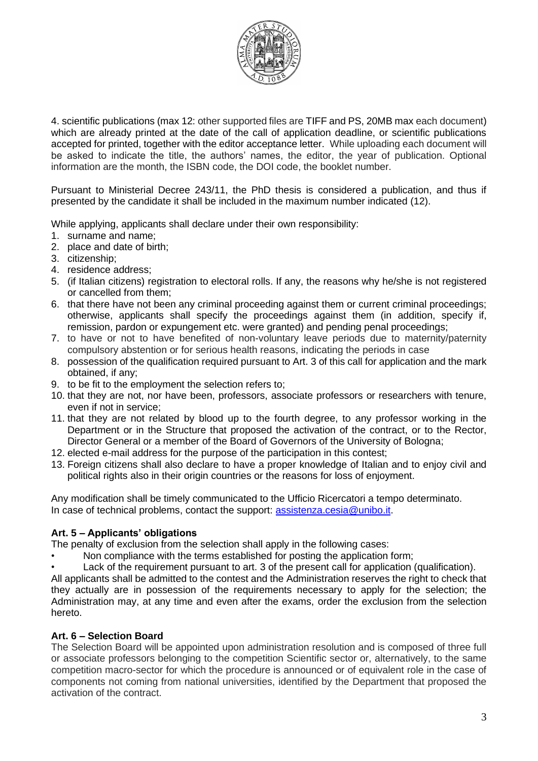

4. scientific publications (max 12: other supported files are TIFF and PS, 20MB max each document) which are already printed at the date of the call of application deadline, or scientific publications accepted for printed, together with the editor acceptance letter. While uploading each document will be asked to indicate the title, the authors' names, the editor, the year of publication. Optional information are the month, the ISBN code, the DOI code, the booklet number.

Pursuant to Ministerial Decree 243/11, the PhD thesis is considered a publication, and thus if presented by the candidate it shall be included in the maximum number indicated (12).

While applying, applicants shall declare under their own responsibility:

- 1. surname and name;
- 2. place and date of birth;
- 3. citizenship;
- 4. residence address;
- 5. (if Italian citizens) registration to electoral rolls. If any, the reasons why he/she is not registered or cancelled from them;
- 6. that there have not been any criminal proceeding against them or current criminal proceedings; otherwise, applicants shall specify the proceedings against them (in addition, specify if, remission, pardon or expungement etc. were granted) and pending penal proceedings;
- 7. to have or not to have benefited of non-voluntary leave periods due to maternity/paternity compulsory abstention or for serious health reasons, indicating the periods in case
- 8. possession of the qualification required pursuant to Art. 3 of this call for application and the mark obtained, if any;
- 9. to be fit to the employment the selection refers to;
- 10. that they are not, nor have been, professors, associate professors or researchers with tenure, even if not in service;
- 11. that they are not related by blood up to the fourth degree, to any professor working in the Department or in the Structure that proposed the activation of the contract, or to the Rector, Director General or a member of the Board of Governors of the University of Bologna;
- 12. elected e-mail address for the purpose of the participation in this contest;
- 13. Foreign citizens shall also declare to have a proper knowledge of Italian and to enjoy civil and political rights also in their origin countries or the reasons for loss of enjoyment.

Any modification shall be timely communicated to the Ufficio Ricercatori a tempo determinato. In case of technical problems, contact the support: [assistenza.cesia@unibo.it.](mailto:assistenza.cesia@unibo.it)

## **Art. 5 – Applicants' obligations**

The penalty of exclusion from the selection shall apply in the following cases:

- Non compliance with the terms established for posting the application form;
- Lack of the requirement pursuant to art. 3 of the present call for application (qualification).

All applicants shall be admitted to the contest and the Administration reserves the right to check that they actually are in possession of the requirements necessary to apply for the selection; the Administration may, at any time and even after the exams, order the exclusion from the selection hereto.

#### **Art. 6 – Selection Board**

The Selection Board will be appointed upon administration resolution and is composed of three full or associate professors belonging to the competition Scientific sector or, alternatively, to the same competition macro-sector for which the procedure is announced or of equivalent role in the case of components not coming from national universities, identified by the Department that proposed the activation of the contract.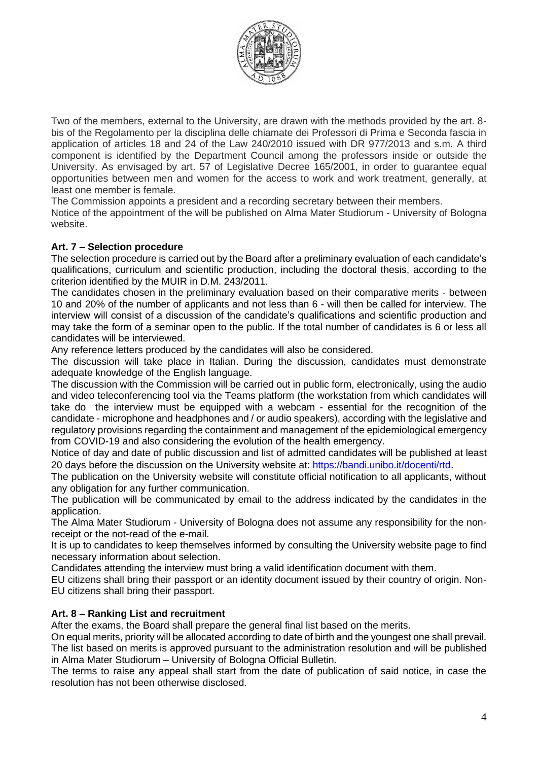

Two of the members, external to the University, are drawn with the methods provided by the art. 8 bis of the Regolamento per la disciplina delle chiamate dei Professori di Prima e Seconda fascia in application of articles 18 and 24 of the Law 240/2010 issued with DR 977/2013 and s.m. A third component is identified by the Department Council among the professors inside or outside the University. As envisaged by art. 57 of Legislative Decree 165/2001, in order to guarantee equal opportunities between men and women for the access to work and work treatment, generally, at least one member is female.

The Commission appoints a president and a recording secretary between their members.

Notice of the appointment of the will be published on Alma Mater Studiorum - University of Bologna website.

#### **Art. 7 – Selection procedure**

The selection procedure is carried out by the Board after a preliminary evaluation of each candidate's qualifications, curriculum and scientific production, including the doctoral thesis, according to the criterion identified by the MUIR in D.M. 243/2011.

The candidates chosen in the preliminary evaluation based on their comparative merits - between 10 and 20% of the number of applicants and not less than 6 - will then be called for interview. The interview will consist of a discussion of the candidate's qualifications and scientific production and may take the form of a seminar open to the public. If the total number of candidates is 6 or less all candidates will be interviewed.

Any reference letters produced by the candidates will also be considered.

The discussion will take place in Italian. During the discussion, candidates must demonstrate adequate knowledge of the English language.

The discussion with the Commission will be carried out in public form, electronically, using the audio and video teleconferencing tool via the Teams platform (the workstation from which candidates will take do the interview must be equipped with a webcam - essential for the recognition of the candidate - microphone and headphones and / or audio speakers), according with the legislative and regulatory provisions regarding the containment and management of the epidemiological emergency from COVID-19 and also considering the evolution of the health emergency.

Notice of day and date of public discussion and list of admitted candidates will be published at least 20 days before the discussion on the University website at: <https://bandi.unibo.it/docenti/rtd>.

The publication on the University website will constitute official notification to all applicants, without any obligation for any further communication.

The publication will be communicated by email to the address indicated by the candidates in the application.

The Alma Mater Studiorum - University of Bologna does not assume any responsibility for the nonreceipt or the not-read of the e-mail.

It is up to candidates to keep themselves informed by consulting the University website page to find necessary information about selection.

Candidates attending the interview must bring a valid identification document with them.

EU citizens shall bring their passport or an identity document issued by their country of origin. Non-EU citizens shall bring their passport.

#### **Art. 8 – Ranking List and recruitment**

After the exams, the Board shall prepare the general final list based on the merits.

On equal merits, priority will be allocated according to date of birth and the youngest one shall prevail. The list based on merits is approved pursuant to the administration resolution and will be published in Alma Mater Studiorum – University of Bologna Official Bulletin.

The terms to raise any appeal shall start from the date of publication of said notice, in case the resolution has not been otherwise disclosed.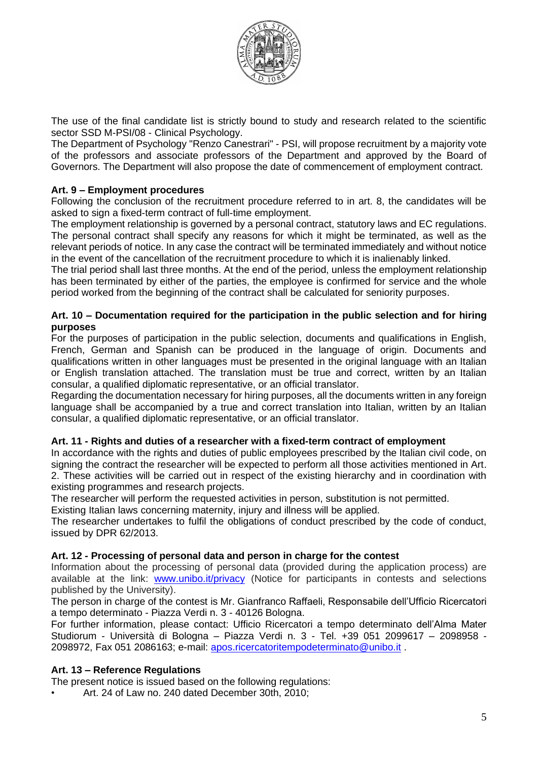

The use of the final candidate list is strictly bound to study and research related to the scientific sector SSD M-PSI/08 - Clinical Psychology.

The Department of Psychology "Renzo Canestrari" - PSI, will propose recruitment by a majority vote of the professors and associate professors of the Department and approved by the Board of Governors. The Department will also propose the date of commencement of employment contract.

#### **Art. 9 – Employment procedures**

Following the conclusion of the recruitment procedure referred to in art. 8, the candidates will be asked to sign a fixed-term contract of full-time employment.

The employment relationship is governed by a personal contract, statutory laws and EC regulations. The personal contract shall specify any reasons for which it might be terminated, as well as the relevant periods of notice. In any case the contract will be terminated immediately and without notice in the event of the cancellation of the recruitment procedure to which it is inalienably linked.

The trial period shall last three months. At the end of the period, unless the employment relationship has been terminated by either of the parties, the employee is confirmed for service and the whole period worked from the beginning of the contract shall be calculated for seniority purposes.

#### **Art. 10 – Documentation required for the participation in the public selection and for hiring purposes**

For the purposes of participation in the public selection, documents and qualifications in English, French, German and Spanish can be produced in the language of origin. Documents and qualifications written in other languages must be presented in the original language with an Italian or English translation attached. The translation must be true and correct, written by an Italian consular, a qualified diplomatic representative, or an official translator.

Regarding the documentation necessary for hiring purposes, all the documents written in any foreign language shall be accompanied by a true and correct translation into Italian, written by an Italian consular, a qualified diplomatic representative, or an official translator.

#### **Art. 11 - Rights and duties of a researcher with a fixed-term contract of employment**

In accordance with the rights and duties of public employees prescribed by the Italian civil code, on signing the contract the researcher will be expected to perform all those activities mentioned in Art. 2. These activities will be carried out in respect of the existing hierarchy and in coordination with existing programmes and research projects.

The researcher will perform the requested activities in person, substitution is not permitted.

Existing Italian laws concerning maternity, injury and illness will be applied.

The researcher undertakes to fulfil the obligations of conduct prescribed by the code of conduct, issued by DPR 62/2013.

#### **Art. 12 - Processing of personal data and person in charge for the contest**

Information about the processing of personal data (provided during the application process) are available at the link: [www.unibo.it/privacy](http://www.unibo.it/privacy) (Notice for participants in contests and selections published by the University).

The person in charge of the contest is Mr. Gianfranco Raffaeli, Responsabile dell'Ufficio Ricercatori a tempo determinato - Piazza Verdi n. 3 - 40126 Bologna.

For further information, please contact: Ufficio Ricercatori a tempo determinato dell'Alma Mater Studiorum - Università di Bologna – Piazza Verdi n. 3 - Tel. +39 051 2099617 – 2098958 - 2098972, Fax 051 2086163; e-mail: [apos.ricercatoritempodeterminato@unibo.it](mailto:apos.ricercatoritempodeterminato@unibo.it) .

#### **Art. 13 – Reference Regulations**

The present notice is issued based on the following regulations:

• Art. 24 of Law no. 240 dated December 30th, 2010;